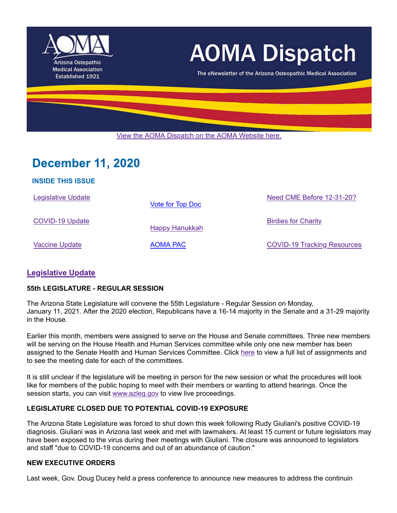

# **AOMA Dispatch**

The eNewsletter of the Arizona Osteopathic Medical Association

View the AOMA Dispatch on the AOMA Website here.

# **December 11, 2020**

| <b>INSIDE THIS ISSUE</b>  |                  |                                    |
|---------------------------|------------------|------------------------------------|
| <b>Legislative Update</b> | Vote for Top Doc | Need CME Before 12-31-20?          |
| <b>COVID-19 Update</b>    | Happy Hanukkah   | <b>Birdies for Charity</b>         |
| Vaccine Update            | <b>AOMA PAC</b>  | <b>COVID-19 Tracking Resources</b> |

# **Legislative Update**

**INSIDE THIS ISSUE**

#### **55th LEGISLATURE - REGULAR SESSION**

The Arizona State Legislature will convene the 55th Legislature - Regular Session on Monday, January 11, 2021. After the 2020 election, Republicans have a 16-14 majority in the Senate and a 31-29 majority in the House.

Earlier this month, members were assigned to serve on the House and Senate committees. Three new members will be serving on the House Health and Human Services committee while only one new member has been assigned to the Senate Health and Human Services Committee. Click here to view a full list of assignments and to see the meeting date for each of the committees.

It is still unclear if the legislature will be meeting in person for the new session or what the procedures will look like for members of the public hoping to meet with their members or wanting to attend hearings. Once the session starts, you can visit www.azleg.gov to view live proceedings.

#### **LEGISLATURE CLOSED DUE TO POTENTIAL COVID-19 EXPOSURE**

The Arizona State Legislature was forced to shut down this week following Rudy Giuliani's positive COVID-19 diagnosis. Giuliani was in Arizona last week and met with lawmakers. At least 15 current or future legislators may have been exposed to the virus during their meetings with Giuliani. The closure was announced to legislators and staff "due to COVID-19 concerns and out of an abundance of caution."

#### **NEW EXECUTIVE ORDERS**

Last week, Gov. Doug Ducey held a press conference to announce new measures to address the continuin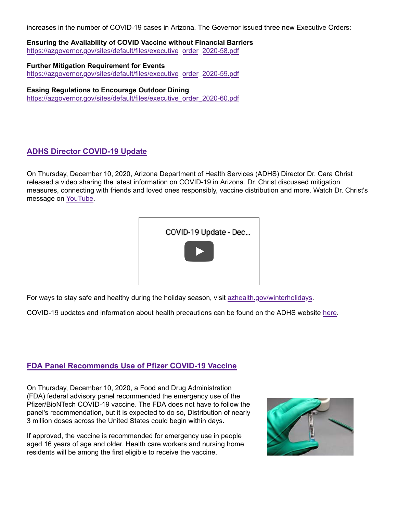increases in the number of COVID-19 cases in Arizona. The Governor issued three new Executive Orders:

**Ensuring the Availability of COVID Vaccine without Financial Barriers** https://azgovernor.gov/sites/default/files/executive\_order\_2020-58.pdf

**Further Mitigation Requirement for Events** https://azgovernor.gov/sites/default/files/executive\_order\_2020-59.pdf

**Easing Regulations to Encourage Outdoor Dining** https://azgovernor.gov/sites/default/files/executive\_order\_2020-60.pdf

# **ADHS Director COVID-19 Update**

On Thursday, December 10, 2020, Arizona Department of Health Services (ADHS) Director Dr. Cara Christ released a video sharing the latest information on COVID-19 in Arizona. Dr. Christ discussed mitigation measures, connecting with friends and loved ones responsibly, vaccine distribution and more. Watch Dr. Christ's message on YouTube.

|--|

For ways to stay safe and healthy during the holiday season, visit azhealth.gov/winterholidays.

COVID-19 updates and information about health precautions can be found on the ADHS website here.

# **FDA Panel Recommends Use of Pfizer COVID-19 Vaccine**

On Thursday, December 10, 2020, a Food and Drug Administration (FDA) federal advisory panel recommended the emergency use of the Pfizer/BioNTech COVID-19 vaccine. The FDA does not have to follow the panel's recommendation, but it is expected to do so, Distribution of nearly 3 million doses across the United States could begin within days.

If approved, the vaccine is recommended for emergency use in people aged 16 years of age and older. Health care workers and nursing home residents will be among the first eligible to receive the vaccine.

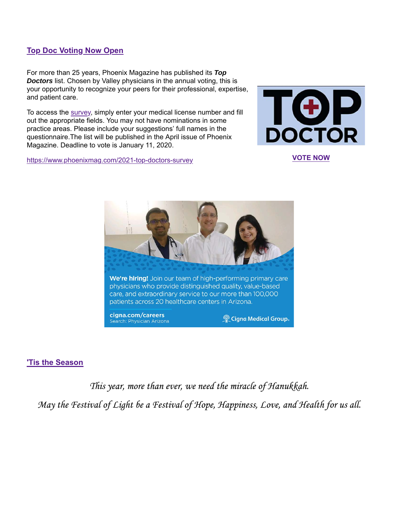# **Top Doc Voting Now Open**

For more than 25 years, Phoenix Magazine has published its *Top Doctors* list. Chosen by Valley physicians in the annual voting, this is your opportunity to recognize your peers for their professional, expertise, and patient care.

To access the survey, simply enter your medical license number and fill out the appropriate fields. You may not have nominations in some practice areas. Please include your suggestions' full names in the questionnaire.The list will be published in the April issue of Phoenix Magazine. Deadline to vote is January 11, 2020.

https://www.phoenixmag.com/2021-top-doctors-survey **VOTE NOW**





#### **'Tis the Season**

This year, more than ever, we need the miracle of Hanukkah.

May the Festival of Light be a Festival of Hope, Happiness, Love, and Health for us all.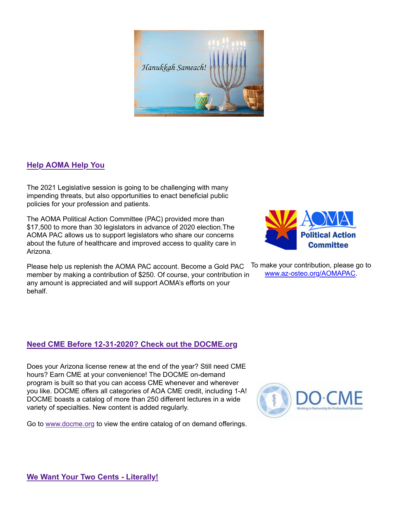

# **Help AOMA Help You**

The 2021 Legislative session is going to be challenging with many impending threats, but also opportunities to enact beneficial public policies for your profession and patients.

The AOMA Political Action Committee (PAC) provided more than \$17,500 to more than 30 legislators in advance of 2020 election.The AOMA PAC allows us to support legislators who share our concerns about the future of healthcare and improved access to quality care in Arizona.

Please help us replenish the AOMA PAC account. Become a Gold PAC member by making a contribution of \$250. Of course, your contribution in any amount is appreciated and will support AOMA's efforts on your behalf.

# **Need CME Before 12-31-2020? Check out the DOCME.org**

Does your Arizona license renew at the end of the year? Still need CME hours? Earn CME at your convenience! The DOCME on-demand program is built so that you can access CME whenever and wherever you like. DOCME offers all categories of AOA CME credit, including 1-A! DOCME boasts a catalog of more than 250 different lectures in a wide variety of specialties. New content is added regularly.

Go to www.docme.org to view the entire catalog of on demand offerings.



To make your contribution, please go to www.az-osteo.org/AOMAPAC.

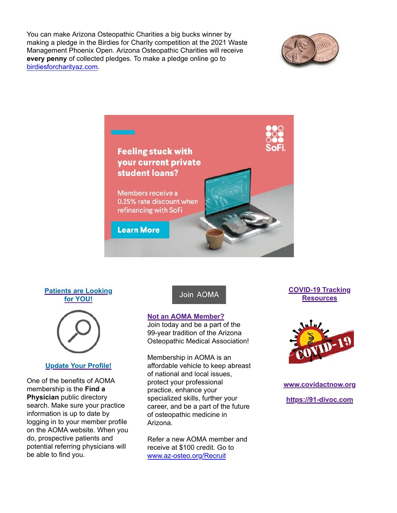You can make Arizona Osteopathic Charities a big bucks winner by making a pledge in the Birdies for Charity competition at the 2021 Waste Management Phoenix Open. Arizona Osteopathic Charities will receive **every penny** of collected pledges. To make a pledge online go to birdiesforcharityaz.com.





#### **Patients are Looking for YOU!**



# **Update Your Profile!**

One of the benefits of AOMA membership is the **Find a Physician** public directory search. Make sure your practice information is up to date by logging in to your member profile on the AOMA website. When you do, prospective patients and potential referring physicians will be able to find you.

# Join AOMA

#### **Not an AOMA Member?**

Join today and be a part of the 99-year tradition of the Arizona Osteopathic Medical Association!

Membership in AOMA is an affordable vehicle to keep abreast of national and local issues, protect your professional practice, enhance your specialized skills, further your career, and be a part of the future of osteopathic medicine in Arizona.

Refer a new AOMA member and receive at \$100 credit. Go to www.az-osteo.org/Recruit

### **COVID-19 Tracking Resources**



**www.covidactnow.org https://91-divoc.com**